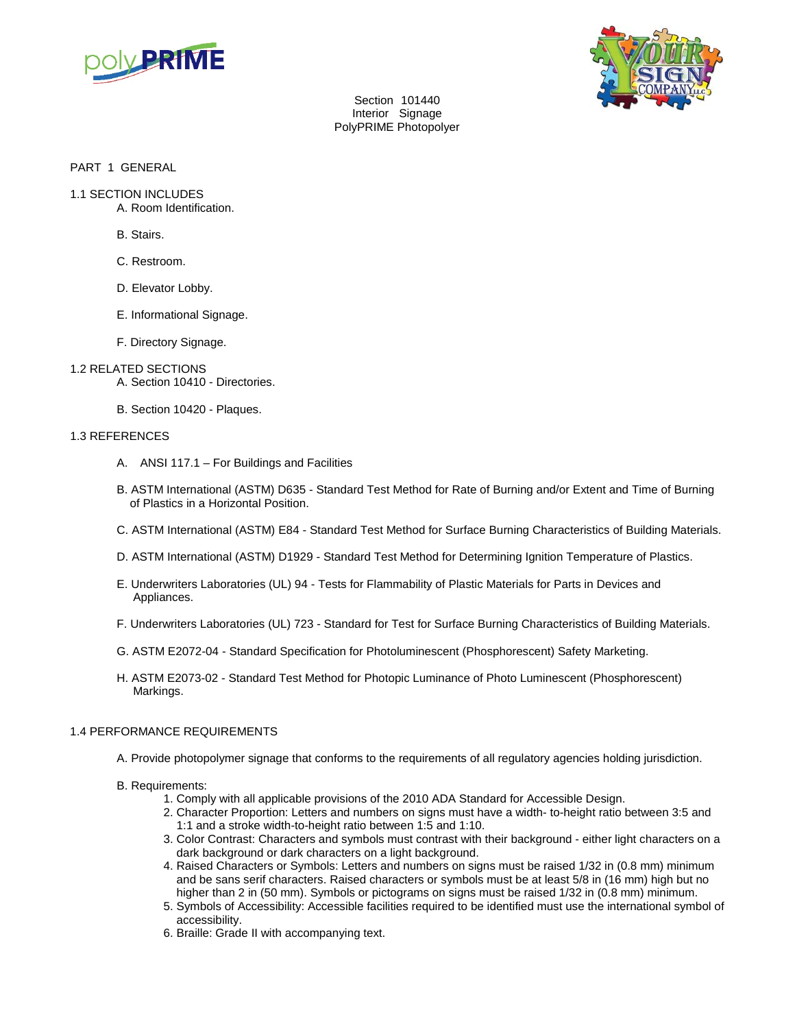

Section 101440 Interior Signage PolyPRIME Photopolyer



PART 1 GENERAL

- 1.1 SECTION INCLUDES
	- A. Room Identification.
		- B. Stairs.
		- C. Restroom.
		- D. Elevator Lobby.
		- E. Informational Signage.
		- F. Directory Signage.

# 1.2 RELATED SECTIONS

- A. Section 10410 Directories.
- B. Section 10420 Plaques.

## 1.3 REFERENCES

- A. ANSI 117.1 For Buildings and Facilities
- B. ASTM International (ASTM) D635 Standard Test Method for Rate of Burning and/or Extent and Time of Burning of Plastics in a Horizontal Position.
- C. ASTM International (ASTM) E84 Standard Test Method for Surface Burning Characteristics of Building Materials.
- D. ASTM International (ASTM) D1929 Standard Test Method for Determining Ignition Temperature of Plastics.
- E. Underwriters Laboratories (UL) 94 Tests for Flammability of Plastic Materials for Parts in Devices and Appliances.
- F. Underwriters Laboratories (UL) 723 Standard for Test for Surface Burning Characteristics of Building Materials.
- G. ASTM E2072-04 Standard Specification for Photoluminescent (Phosphorescent) Safety Marketing.
- H. ASTM E2073-02 Standard Test Method for Photopic Luminance of Photo Luminescent (Phosphorescent) Markings.

# 1.4 PERFORMANCE REQUIREMENTS

A. Provide photopolymer signage that conforms to the requirements of all regulatory agencies holding jurisdiction.

# B. Requirements:

- 1. Comply with all applicable provisions of the 2010 ADA Standard for Accessible Design.
- 2. Character Proportion: Letters and numbers on signs must have a width- to-height ratio between 3:5 and 1:1 and a stroke width-to-height ratio between 1:5 and 1:10.
- 3. Color Contrast: Characters and symbols must contrast with their background either light characters on a dark background or dark characters on a light background.
- 4. Raised Characters or Symbols: Letters and numbers on signs must be raised 1/32 in (0.8 mm) minimum and be sans serif characters. Raised characters or symbols must be at least 5/8 in (16 mm) high but no higher than 2 in (50 mm). Symbols or pictograms on signs must be raised 1/32 in (0.8 mm) minimum.
- 5. Symbols of Accessibility: Accessible facilities required to be identified must use the international symbol of accessibility.
- 6. Braille: Grade II with accompanying text.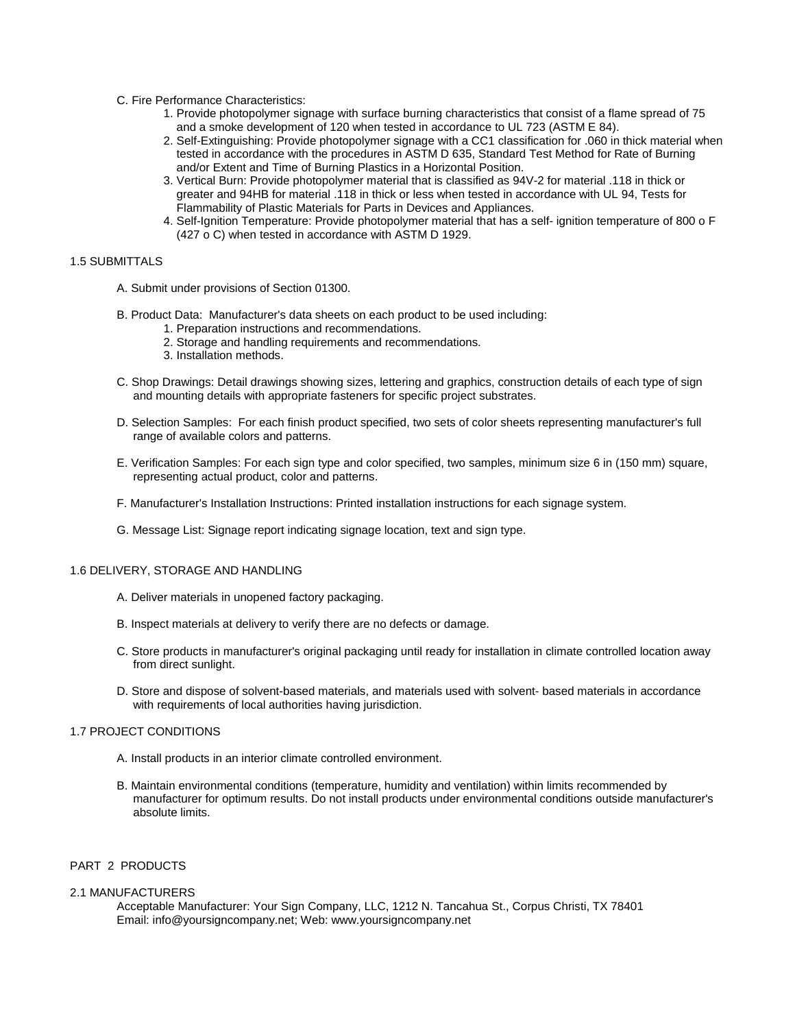- C. Fire Performance Characteristics:
	- 1. Provide photopolymer signage with surface burning characteristics that consist of a flame spread of 75 and a smoke development of 120 when tested in accordance to UL 723 (ASTM E 84).
	- 2. Self-Extinguishing: Provide photopolymer signage with a CC1 classification for .060 in thick material when tested in accordance with the procedures in ASTM D 635, Standard Test Method for Rate of Burning and/or Extent and Time of Burning Plastics in a Horizontal Position.
	- 3. Vertical Burn: Provide photopolymer material that is classified as 94V-2 for material .118 in thick or greater and 94HB for material .118 in thick or less when tested in accordance with UL 94, Tests for Flammability of Plastic Materials for Parts in Devices and Appliances.
	- 4. Self-Ignition Temperature: Provide photopolymer material that has a self- ignition temperature of 800 o F (427 o C) when tested in accordance with ASTM D 1929.

#### 1.5 SUBMITTALS

- A. Submit under provisions of Section 01300.
- B. Product Data: Manufacturer's data sheets on each product to be used including:
	- 1. Preparation instructions and recommendations.
	- 2. Storage and handling requirements and recommendations.
	- 3. Installation methods.
- C. Shop Drawings: Detail drawings showing sizes, lettering and graphics, construction details of each type of sign and mounting details with appropriate fasteners for specific project substrates.
- D. Selection Samples: For each finish product specified, two sets of color sheets representing manufacturer's full range of available colors and patterns.
- E. Verification Samples: For each sign type and color specified, two samples, minimum size 6 in (150 mm) square, representing actual product, color and patterns.
- F. Manufacturer's Installation Instructions: Printed installation instructions for each signage system.
- G. Message List: Signage report indicating signage location, text and sign type.

#### 1.6 DELIVERY, STORAGE AND HANDLING

- A. Deliver materials in unopened factory packaging.
- B. Inspect materials at delivery to verify there are no defects or damage.
- C. Store products in manufacturer's original packaging until ready for installation in climate controlled location away from direct sunlight.
- D. Store and dispose of solvent-based materials, and materials used with solvent- based materials in accordance with requirements of local authorities having jurisdiction.

## 1.7 PROJECT CONDITIONS

- A. Install products in an interior climate controlled environment.
- B. Maintain environmental conditions (temperature, humidity and ventilation) within limits recommended by manufacturer for optimum results. Do not install products under environmental conditions outside manufacturer's absolute limits.

## PART 2 PRODUCTS

#### 2.1 MANUFACTURERS

Acceptable Manufacturer: Your Sign Company, LLC, 1212 N. Tancahua St., Corpus Christi, TX 78401 Email: info@yoursigncompany.net; Web: www.yoursigncompany.net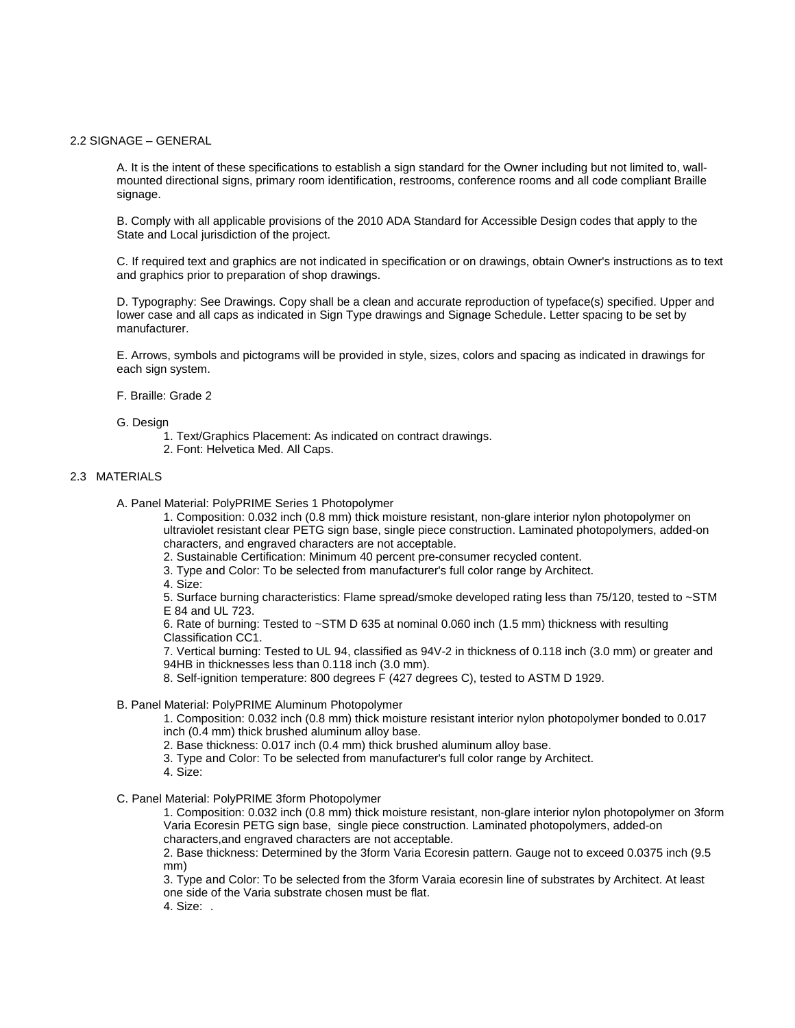#### 2.2 SIGNAGE – GENERAL

A. It is the intent of these specifications to establish a sign standard for the Owner including but not limited to, wallmounted directional signs, primary room identification, restrooms, conference rooms and all code compliant Braille signage.

B. Comply with all applicable provisions of the 2010 ADA Standard for Accessible Design codes that apply to the State and Local jurisdiction of the project.

C. If required text and graphics are not indicated in specification or on drawings, obtain Owner's instructions as to text and graphics prior to preparation of shop drawings.

D. Typography: See Drawings. Copy shall be a clean and accurate reproduction of typeface(s) specified. Upper and lower case and all caps as indicated in Sign Type drawings and Signage Schedule. Letter spacing to be set by manufacturer.

E. Arrows, symbols and pictograms will be provided in style, sizes, colors and spacing as indicated in drawings for each sign system.

## F. Braille: Grade 2

G. Design

- 1. Text/Graphics Placement: As indicated on contract drawings.
- 2. Font: Helvetica Med. All Caps.

## 2.3 MATERIALS

A. Panel Material: PolyPRIME Series 1 Photopolymer

1. Composition: 0.032 inch (0.8 mm) thick moisture resistant, non-glare interior nylon photopolymer on ultraviolet resistant clear PETG sign base, single piece construction. Laminated photopolymers, added-on characters, and engraved characters are not acceptable.

- 2. Sustainable Certification: Minimum 40 percent pre-consumer recycled content.
- 3. Type and Color: To be selected from manufacturer's full color range by Architect.

4. Size:

5. Surface burning characteristics: Flame spread/smoke developed rating less than 75/120, tested to ~STM E 84 and UL 723.

6. Rate of burning: Tested to ~STM D 635 at nominal 0.060 inch (1.5 mm) thickness with resulting Classification CC1.

7. Vertical burning: Tested to UL 94, classified as 94V-2 in thickness of 0.118 inch (3.0 mm) or greater and 94HB in thicknesses less than 0.118 inch (3.0 mm).

8. Self-ignition temperature: 800 degrees F (427 degrees C), tested to ASTM D 1929.

B. Panel Material: PolyPRIME Aluminum Photopolymer

1. Composition: 0.032 inch (0.8 mm) thick moisture resistant interior nylon photopolymer bonded to 0.017 inch (0.4 mm) thick brushed aluminum alloy base.

2. Base thickness: 0.017 inch (0.4 mm) thick brushed aluminum alloy base.

- 3. Type and Color: To be selected from manufacturer's full color range by Architect.
- 4. Size:
- C. Panel Material: PolyPRIME 3form Photopolymer

1. Composition: 0.032 inch (0.8 mm) thick moisture resistant, non-glare interior nylon photopolymer on 3form Varia Ecoresin PETG sign base, single piece construction. Laminated photopolymers, added-on characters,and engraved characters are not acceptable.

2. Base thickness: Determined by the 3form Varia Ecoresin pattern. Gauge not to exceed 0.0375 inch (9.5 mm)

3. Type and Color: To be selected from the 3form Varaia ecoresin line of substrates by Architect. At least one side of the Varia substrate chosen must be flat.

4. Size: .